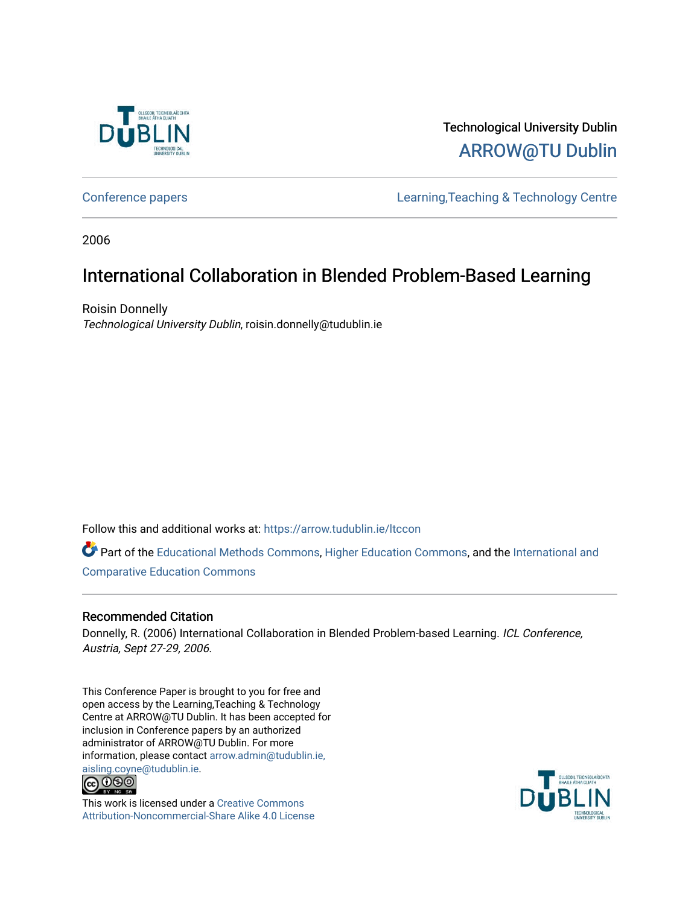

Technological University Dublin [ARROW@TU Dublin](https://arrow.tudublin.ie/) 

[Conference papers](https://arrow.tudublin.ie/ltccon) [Learning,Teaching & Technology Centre](https://arrow.tudublin.ie/ltc) 

2006

## International Collaboration in Blended Problem-Based Learning

Roisin Donnelly Technological University Dublin, roisin.donnelly@tudublin.ie

Follow this and additional works at: [https://arrow.tudublin.ie/ltccon](https://arrow.tudublin.ie/ltccon?utm_source=arrow.tudublin.ie%2Fltccon%2F25&utm_medium=PDF&utm_campaign=PDFCoverPages)

Part of the [Educational Methods Commons,](http://network.bepress.com/hgg/discipline/1227?utm_source=arrow.tudublin.ie%2Fltccon%2F25&utm_medium=PDF&utm_campaign=PDFCoverPages) [Higher Education Commons](http://network.bepress.com/hgg/discipline/1245?utm_source=arrow.tudublin.ie%2Fltccon%2F25&utm_medium=PDF&utm_campaign=PDFCoverPages), and the [International and](http://network.bepress.com/hgg/discipline/797?utm_source=arrow.tudublin.ie%2Fltccon%2F25&utm_medium=PDF&utm_campaign=PDFCoverPages)  [Comparative Education Commons](http://network.bepress.com/hgg/discipline/797?utm_source=arrow.tudublin.ie%2Fltccon%2F25&utm_medium=PDF&utm_campaign=PDFCoverPages) 

#### Recommended Citation

Donnelly, R. (2006) International Collaboration in Blended Problem-based Learning. ICL Conference, Austria, Sept 27-29, 2006.

This Conference Paper is brought to you for free and open access by the Learning,Teaching & Technology Centre at ARROW@TU Dublin. It has been accepted for inclusion in Conference papers by an authorized administrator of ARROW@TU Dublin. For more information, please contact [arrow.admin@tudublin.ie,](mailto:arrow.admin@tudublin.ie,%20aisling.coyne@tudublin.ie)  [aisling.coyne@tudublin.ie.](mailto:arrow.admin@tudublin.ie,%20aisling.coyne@tudublin.ie)<br>© 090



This work is licensed under a [Creative Commons](http://creativecommons.org/licenses/by-nc-sa/4.0/) [Attribution-Noncommercial-Share Alike 4.0 License](http://creativecommons.org/licenses/by-nc-sa/4.0/)

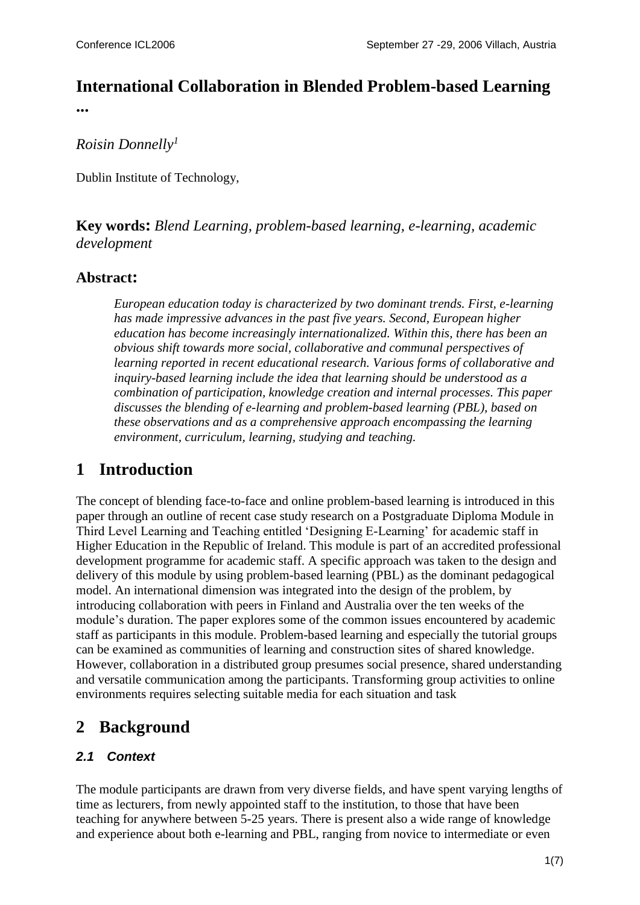## **International Collaboration in Blended Problem-based Learning**

**...**

*Roisin Donnelly<sup>1</sup>*

Dublin Institute of Technology,

**Key words:** *Blend Learning, problem-based learning, e-learning, academic development*

### **Abstract:**

*European education today is characterized by two dominant trends. First, e-learning has made impressive advances in the past five years. Second, European higher education has become increasingly internationalized. Within this, there has been an obvious shift towards more social, collaborative and communal perspectives of learning reported in recent educational research. Various forms of collaborative and inquiry-based learning include the idea that learning should be understood as a combination of participation, knowledge creation and internal processes. This paper discusses the blending of e-learning and problem-based learning (PBL), based on these observations and as a comprehensive approach encompassing the learning environment, curriculum, learning, studying and teaching.*

## **1 Introduction**

The concept of blending face-to-face and online problem-based learning is introduced in this paper through an outline of recent case study research on a Postgraduate Diploma Module in Third Level Learning and Teaching entitled 'Designing E-Learning' for academic staff in Higher Education in the Republic of Ireland. This module is part of an accredited professional development programme for academic staff. A specific approach was taken to the design and delivery of this module by using problem-based learning (PBL) as the dominant pedagogical model. An international dimension was integrated into the design of the problem, by introducing collaboration with peers in Finland and Australia over the ten weeks of the module's duration. The paper explores some of the common issues encountered by academic staff as participants in this module. Problem-based learning and especially the tutorial groups can be examined as communities of learning and construction sites of shared knowledge. However, collaboration in a distributed group presumes social presence, shared understanding and versatile communication among the participants. Transforming group activities to online environments requires selecting suitable media for each situation and task

## **2 Background**

## *2.1 Context*

The module participants are drawn from very diverse fields, and have spent varying lengths of time as lecturers, from newly appointed staff to the institution, to those that have been teaching for anywhere between 5-25 years. There is present also a wide range of knowledge and experience about both e-learning and PBL, ranging from novice to intermediate or even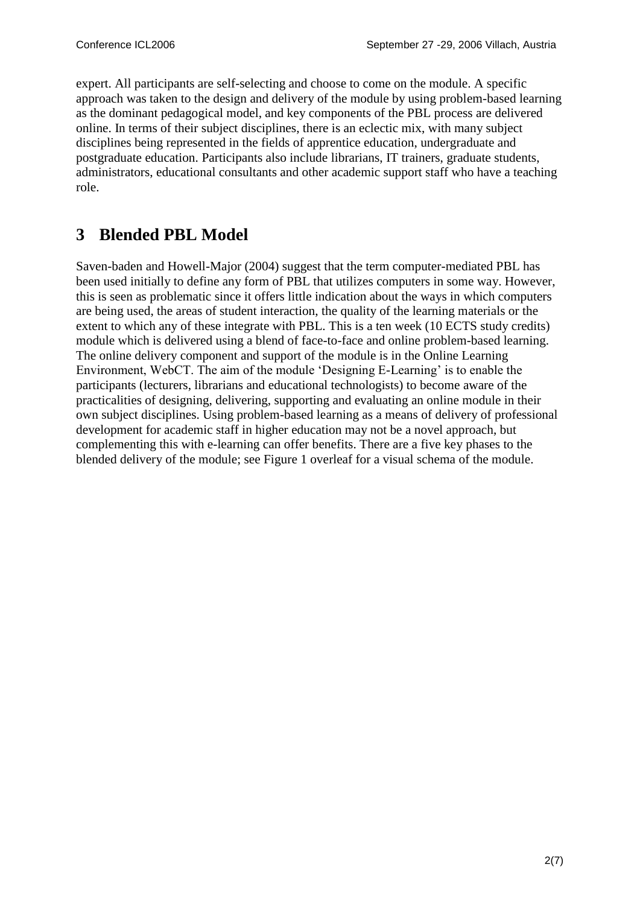expert. All participants are self-selecting and choose to come on the module. A specific approach was taken to the design and delivery of the module by using problem-based learning as the dominant pedagogical model, and key components of the PBL process are delivered online. In terms of their subject disciplines, there is an eclectic mix, with many subject disciplines being represented in the fields of apprentice education, undergraduate and postgraduate education. Participants also include librarians, IT trainers, graduate students, administrators, educational consultants and other academic support staff who have a teaching role.

## **3 Blended PBL Model**

Saven-baden and Howell-Major (2004) suggest that the term computer-mediated PBL has been used initially to define any form of PBL that utilizes computers in some way. However, this is seen as problematic since it offers little indication about the ways in which computers are being used, the areas of student interaction, the quality of the learning materials or the extent to which any of these integrate with PBL. This is a ten week (10 ECTS study credits) module which is delivered using a blend of face-to-face and online problem-based learning. The online delivery component and support of the module is in the Online Learning Environment, WebCT. The aim of the module 'Designing E-Learning' is to enable the participants (lecturers, librarians and educational technologists) to become aware of the practicalities of designing, delivering, supporting and evaluating an online module in their own subject disciplines. Using problem-based learning as a means of delivery of professional development for academic staff in higher education may not be a novel approach, but complementing this with e-learning can offer benefits. There are a five key phases to the blended delivery of the module; see Figure 1 overleaf for a visual schema of the module.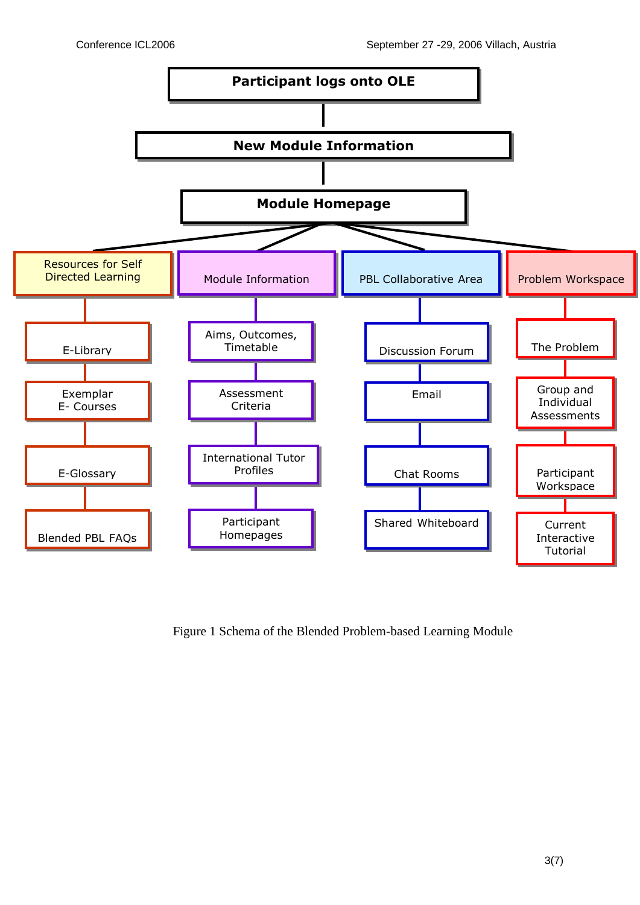

Figure 1 Schema of the Blended Problem-based Learning Module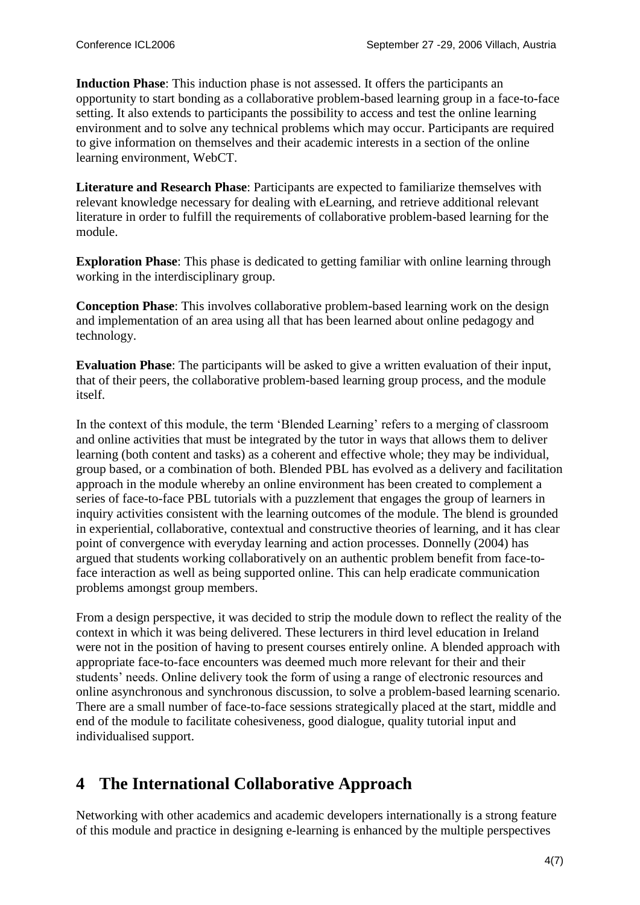**Induction Phase**: This induction phase is not assessed. It offers the participants an opportunity to start bonding as a collaborative problem-based learning group in a face-to-face setting. It also extends to participants the possibility to access and test the online learning environment and to solve any technical problems which may occur. Participants are required to give information on themselves and their academic interests in a section of the online learning environment, WebCT.

**Literature and Research Phase**: Participants are expected to familiarize themselves with relevant knowledge necessary for dealing with eLearning, and retrieve additional relevant literature in order to fulfill the requirements of collaborative problem-based learning for the module.

**Exploration Phase**: This phase is dedicated to getting familiar with online learning through working in the interdisciplinary group.

**Conception Phase**: This involves collaborative problem-based learning work on the design and implementation of an area using all that has been learned about online pedagogy and technology.

**Evaluation Phase**: The participants will be asked to give a written evaluation of their input, that of their peers, the collaborative problem-based learning group process, and the module itself.

In the context of this module, the term 'Blended Learning' refers to a merging of classroom and online activities that must be integrated by the tutor in ways that allows them to deliver learning (both content and tasks) as a coherent and effective whole; they may be individual, group based, or a combination of both. Blended PBL has evolved as a delivery and facilitation approach in the module whereby an online environment has been created to complement a series of face-to-face PBL tutorials with a puzzlement that engages the group of learners in inquiry activities consistent with the learning outcomes of the module. The blend is grounded in experiential, collaborative, contextual and constructive theories of learning, and it has clear point of convergence with everyday learning and action processes. Donnelly (2004) has argued that students working collaboratively on an authentic problem benefit from face-toface interaction as well as being supported online. This can help eradicate communication problems amongst group members.

From a design perspective, it was decided to strip the module down to reflect the reality of the context in which it was being delivered. These lecturers in third level education in Ireland were not in the position of having to present courses entirely online. A blended approach with appropriate face-to-face encounters was deemed much more relevant for their and their students' needs. Online delivery took the form of using a range of electronic resources and online asynchronous and synchronous discussion, to solve a problem-based learning scenario. There are a small number of face-to-face sessions strategically placed at the start, middle and end of the module to facilitate cohesiveness, good dialogue, quality tutorial input and individualised support.

## **4 The International Collaborative Approach**

Networking with other academics and academic developers internationally is a strong feature of this module and practice in designing e-learning is enhanced by the multiple perspectives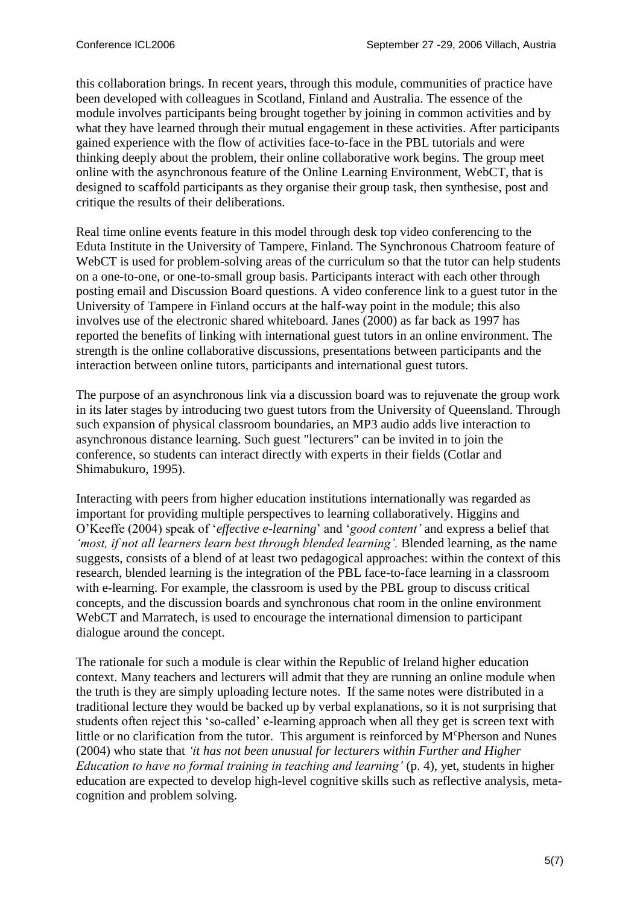this collaboration brings. In recent years, through this module, communities of practice have been developed with colleagues in Scotland, Finland and Australia. The essence of the module involves participants being brought together by joining in common activities and by what they have learned through their mutual engagement in these activities. After participants gained experience with the flow of activities face-to-face in the PBL tutorials and were thinking deeply about the problem, their online collaborative work begins. The group meet online with the asynchronous feature of the Online Learning Environment, WebCT, that is designed to scaffold participants as they organise their group task, then synthesise, post and critique the results of their deliberations.

Real time online events feature in this model through desk top video conferencing to the Eduta Institute in the University of Tampere, Finland. The Synchronous Chatroom feature of WebCT is used for problem-solving areas of the curriculum so that the tutor can help students on a one-to-one, or one-to-small group basis. Participants interact with each other through posting email and Discussion Board questions. A video conference link to a guest tutor in the University of Tampere in Finland occurs at the half-way point in the module; this also involves use of the electronic shared whiteboard. Janes (2000) as far back as 1997 has reported the benefits of linking with international guest tutors in an online environment. The strength is the online collaborative discussions, presentations between participants and the interaction between online tutors, participants and international guest tutors.

The purpose of an asynchronous link via a discussion board was to rejuvenate the group work in its later stages by introducing two guest tutors from the University of Queensland. Through such expansion of physical classroom boundaries, an MP3 audio adds live interaction to asynchronous distance learning. Such guest "lecturers" can be invited in to join the conference, so students can interact directly with experts in their fields (Cotlar and Shimabukuro, 1995).

Interacting with peers from higher education institutions internationally was regarded as important for providing multiple perspectives to learning collaboratively. Higgins and O'Keeffe (2004) speak of '*effective e-learning*' and '*good content'* and express a belief that *'most, if not all learners learn best through blended learning'.* Blended learning, as the name suggests, consists of a blend of at least two pedagogical approaches: within the context of this research, blended learning is the integration of the PBL face-to-face learning in a classroom with e-learning. For example, the classroom is used by the PBL group to discuss critical concepts, and the discussion boards and synchronous chat room in the online environment WebCT and Marratech, is used to encourage the international dimension to participant dialogue around the concept.

The rationale for such a module is clear within the Republic of Ireland higher education context. Many teachers and lecturers will admit that they are running an online module when the truth is they are simply uploading lecture notes. If the same notes were distributed in a traditional lecture they would be backed up by verbal explanations, so it is not surprising that students often reject this 'so-called' e-learning approach when all they get is screen text with little or no clarification from the tutor. This argument is reinforced by  $M<sup>c</sup>Pherson$  and Nunes (2004) who state that *'it has not been unusual for lecturers within Further and Higher Education to have no formal training in teaching and learning'* (p. 4), yet, students in higher education are expected to develop high-level cognitive skills such as reflective analysis, metacognition and problem solving.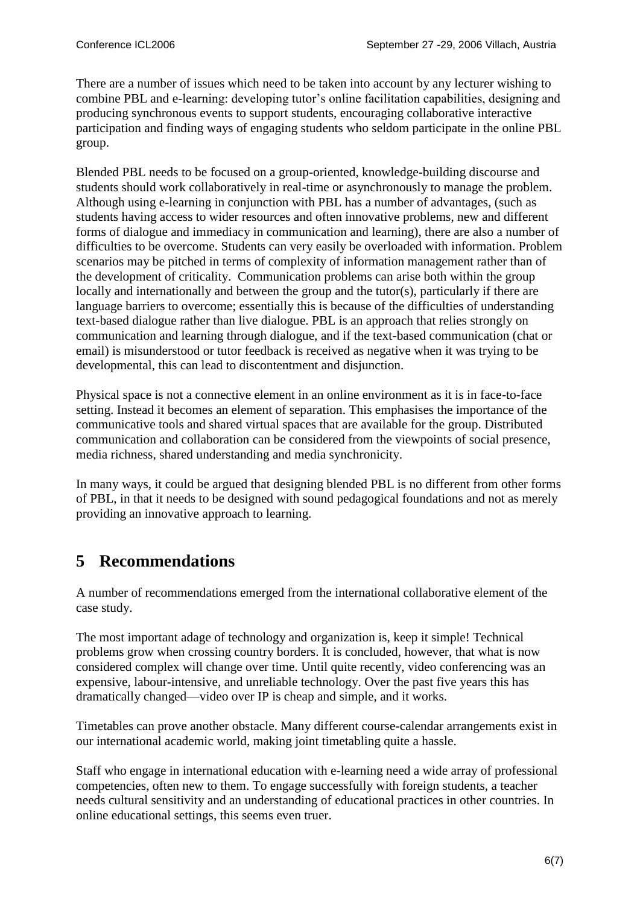There are a number of issues which need to be taken into account by any lecturer wishing to combine PBL and e-learning: developing tutor's online facilitation capabilities, designing and producing synchronous events to support students, encouraging collaborative interactive participation and finding ways of engaging students who seldom participate in the online PBL group.

Blended PBL needs to be focused on a group-oriented, knowledge-building discourse and students should work collaboratively in real-time or asynchronously to manage the problem. Although using e-learning in conjunction with PBL has a number of advantages, (such as students having access to wider resources and often innovative problems, new and different forms of dialogue and immediacy in communication and learning), there are also a number of difficulties to be overcome. Students can very easily be overloaded with information. Problem scenarios may be pitched in terms of complexity of information management rather than of the development of criticality. Communication problems can arise both within the group locally and internationally and between the group and the tutor(s), particularly if there are language barriers to overcome; essentially this is because of the difficulties of understanding text-based dialogue rather than live dialogue. PBL is an approach that relies strongly on communication and learning through dialogue, and if the text-based communication (chat or email) is misunderstood or tutor feedback is received as negative when it was trying to be developmental, this can lead to discontentment and disjunction.

Physical space is not a connective element in an online environment as it is in face-to-face setting. Instead it becomes an element of separation. This emphasises the importance of the communicative tools and shared virtual spaces that are available for the group. Distributed communication and collaboration can be considered from the viewpoints of social presence, media richness, shared understanding and media synchronicity.

In many ways, it could be argued that designing blended PBL is no different from other forms of PBL, in that it needs to be designed with sound pedagogical foundations and not as merely providing an innovative approach to learning.

# **5 Recommendations**

A number of recommendations emerged from the international collaborative element of the case study.

The most important adage of technology and organization is, keep it simple! Technical problems grow when crossing country borders. It is concluded, however, that what is now considered complex will change over time. Until quite recently, video conferencing was an expensive, labour-intensive, and unreliable technology. Over the past five years this has dramatically changed—video over IP is cheap and simple, and it works.

Timetables can prove another obstacle. Many different course-calendar arrangements exist in our international academic world, making joint timetabling quite a hassle.

Staff who engage in international education with e-learning need a wide array of professional competencies, often new to them. To engage successfully with foreign students, a teacher needs cultural sensitivity and an understanding of educational practices in other countries. In online educational settings, this seems even truer.